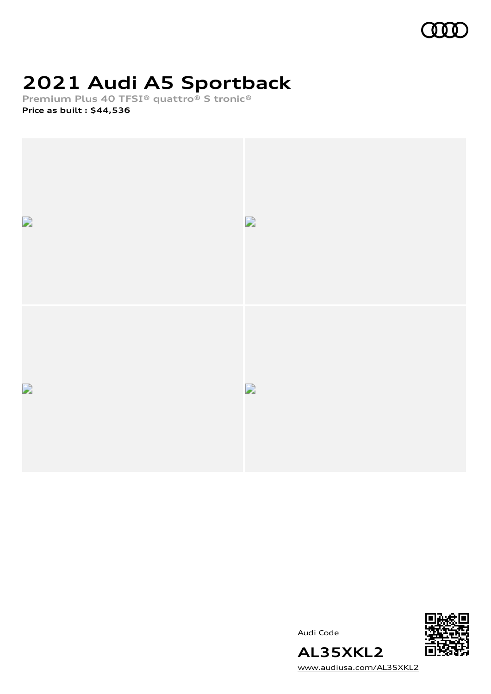

# **2021 Audi A5 Sportback**

**Premium Plus 40 TFSI® quattro® S tronic®**

**Price as built [:](#page-8-0) \$44,536**



Audi Code



[www.audiusa.com/AL35XKL2](https://www.audiusa.com/AL35XKL2)

**AL35XKL2**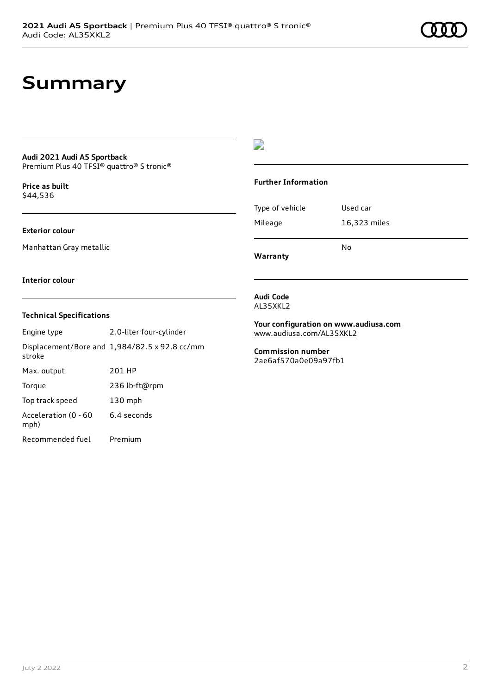### **Summary**

#### **Audi 2021 Audi A5 Sportback** Premium Plus 40 TFSI® quattro® S tronic®

**Price as buil[t](#page-8-0)** \$44,536

**Exterior colour**

Manhattan Gray metallic

### $\overline{\phantom{a}}$

#### **Further Information**

|                 | No           |  |
|-----------------|--------------|--|
| Mileage         | 16,323 miles |  |
| Type of vehicle | Used car     |  |

**Warranty**

#### **Interior colour**

#### **Technical Specifications**

| Engine type                  | 2.0-liter four-cylinder                       |
|------------------------------|-----------------------------------------------|
| stroke                       | Displacement/Bore and 1,984/82.5 x 92.8 cc/mm |
| Max. output                  | 201 HP                                        |
| Torque                       | 236 lb-ft@rpm                                 |
| Top track speed              | $130$ mph                                     |
| Acceleration (0 - 60<br>mph) | 6.4 seconds                                   |
| Recommended fuel             | Premium                                       |

#### **Audi Code** AL35XKL2

**Your configuration on www.audiusa.com** [www.audiusa.com/AL35XKL2](https://www.audiusa.com/AL35XKL2)

**Commission number** 2ae6af570a0e09a97fb1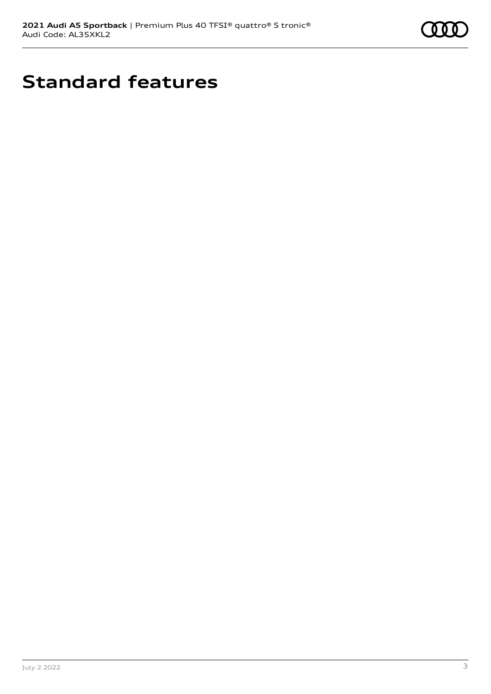

# **Standard features**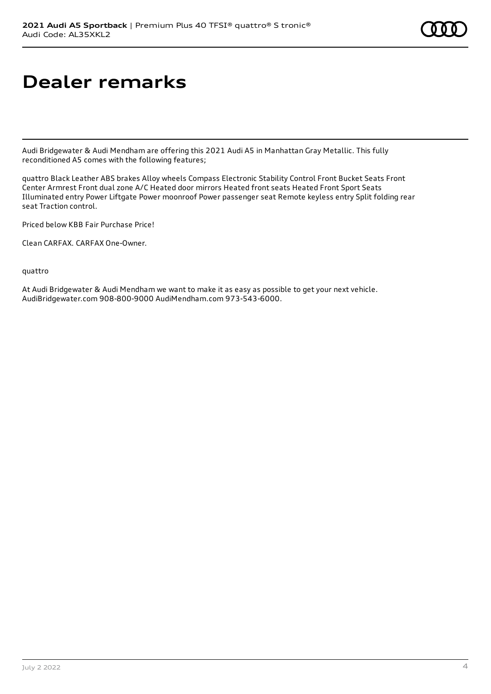## **Dealer remarks**

Audi Bridgewater & Audi Mendham are offering this 2021 Audi A5 in Manhattan Gray Metallic. This fully reconditioned A5 comes with the following features;

quattro Black Leather ABS brakes Alloy wheels Compass Electronic Stability Control Front Bucket Seats Front Center Armrest Front dual zone A/C Heated door mirrors Heated front seats Heated Front Sport Seats Illuminated entry Power Liftgate Power moonroof Power passenger seat Remote keyless entry Split folding rear seat Traction control.

Priced below KBB Fair Purchase Price!

Clean CARFAX. CARFAX One-Owner.

quattro

At Audi Bridgewater & Audi Mendham we want to make it as easy as possible to get your next vehicle. AudiBridgewater.com 908-800-9000 AudiMendham.com 973-543-6000.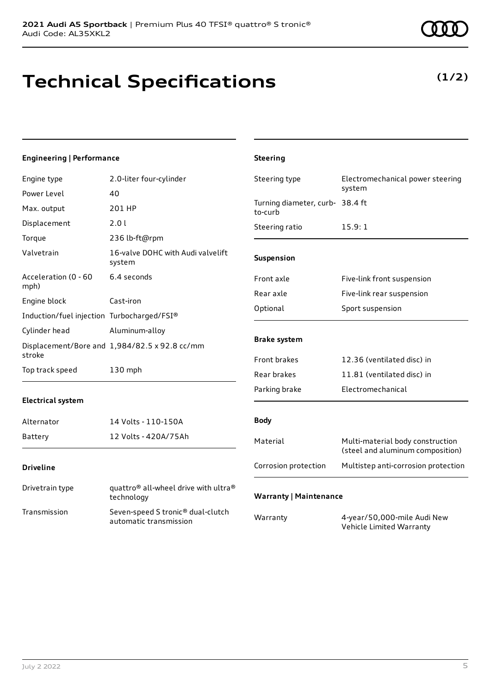### **Technical Specifications**

#### **Engineering | Performance**

| Engine type                                | 2.0-liter four-cylinder                                                    | Steering type                              | Electromechanical power steering<br>system                           |
|--------------------------------------------|----------------------------------------------------------------------------|--------------------------------------------|----------------------------------------------------------------------|
| Power Level                                | 40                                                                         |                                            |                                                                      |
| Max. output                                | 201 HP                                                                     | Turning diameter, curb- 38.4 ft<br>to-curb |                                                                      |
| Displacement                               | 2.0 l                                                                      | Steering ratio                             | 15.9:1                                                               |
| Torque                                     | 236 lb-ft@rpm                                                              |                                            |                                                                      |
| Valvetrain                                 | 16-valve DOHC with Audi valvelift<br>system                                | Suspension                                 |                                                                      |
| Acceleration (0 - 60<br>mph)               | 6.4 seconds                                                                | Front axle                                 | Five-link front suspension                                           |
| Engine block                               | Cast-iron                                                                  | Rear axle                                  | Five-link rear suspension                                            |
| Induction/fuel injection Turbocharged/FSI® |                                                                            | Optional                                   | Sport suspension                                                     |
| Cylinder head                              | Aluminum-alloy                                                             |                                            |                                                                      |
| stroke                                     | Displacement/Bore and 1,984/82.5 x 92.8 cc/mm                              | <b>Brake system</b>                        |                                                                      |
|                                            |                                                                            | Front brakes                               | 12.36 (ventilated disc) in                                           |
| Top track speed                            | 130 mph                                                                    | Rear brakes                                | 11.81 (ventilated disc) in                                           |
|                                            |                                                                            | Parking brake                              | Electromechanical                                                    |
| <b>Electrical system</b>                   |                                                                            |                                            |                                                                      |
| Alternator                                 | 14 Volts - 110-150A                                                        | <b>Body</b>                                |                                                                      |
| Battery                                    | 12 Volts - 420A/75Ah                                                       | Material                                   | Multi-material body construction<br>(steel and aluminum composition) |
| <b>Driveline</b>                           |                                                                            | Corrosion protection                       | Multistep anti-corrosion protection                                  |
| Drivetrain type                            | quattro <sup>®</sup> all-wheel drive with ultra <sup>®</sup><br>technology | <b>Warranty   Maintenance</b>              |                                                                      |
| Transmission                               | Seven-speed S tronic® dual-clutch<br>automatic transmission                | Warranty                                   | 4-year/50,000-mile Audi New<br>Vehicle Limited Warranty              |

**Steering**

### **(1/2)**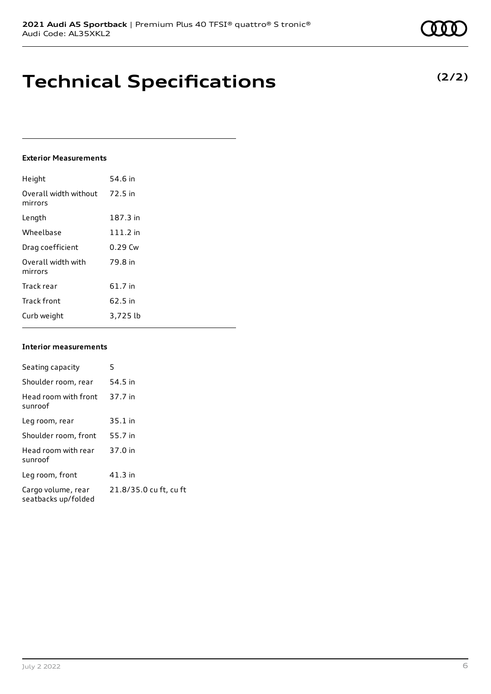### **Technical Specifications**

#### **Exterior Measurements**

| Height                           | 54.6 in   |
|----------------------------------|-----------|
| Overall width without<br>mirrors | 72.5 in   |
| Length                           | 187.3 in  |
| Wheelbase                        | 111.2 in  |
| Drag coefficient                 | $0.29$ Cw |
| Overall width with<br>mirrors    | 79.8 in   |
| Track rear                       | 61.7 in   |
| <b>Track front</b>               | 62.5 in   |
| Curb weight                      | 3,725 lb  |

#### **Interior measurements**

| Seating capacity                          | 5                      |
|-------------------------------------------|------------------------|
| Shoulder room, rear                       | 54.5 in                |
| Head room with front<br>sunroof           | 37.7 in                |
| Leg room, rear                            | $35.1$ in              |
| Shoulder room, front                      | 55.7 in                |
| Head room with rear<br>sunroof            | 37.0 in                |
| Leg room, front                           | $41.3$ in              |
| Cargo volume, rear<br>seatbacks up/folded | 21.8/35.0 cu ft, cu ft |

### **(2/2)**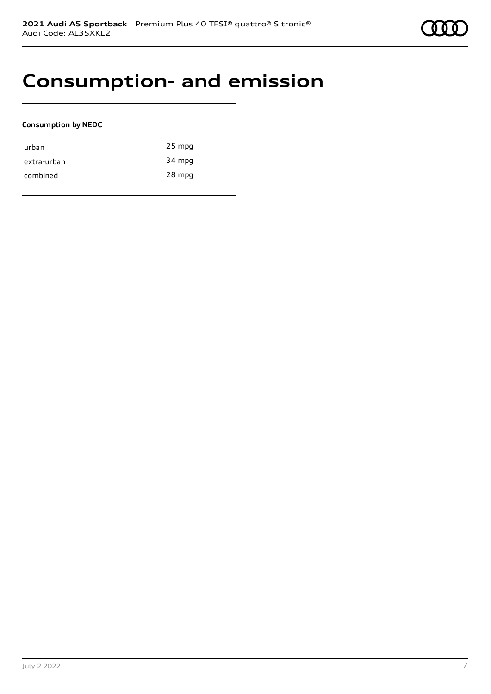### **Consumption- and emission**

#### **Consumption by NEDC**

| urban       | 25 mpg |
|-------------|--------|
| extra-urban | 34 mpg |
| combined    | 28 mpg |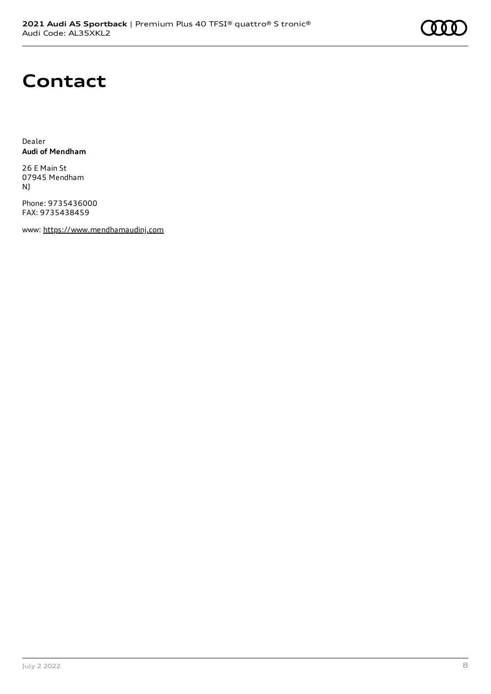# **Contact**

Dealer **Audi of Mendham**

26 E Main St 07945 Mendham NJ

Phone: 9735436000 FAX: 9735438459

www: [https://www.mendhamaudinj.com](https://www.mendhamaudinj.com/)